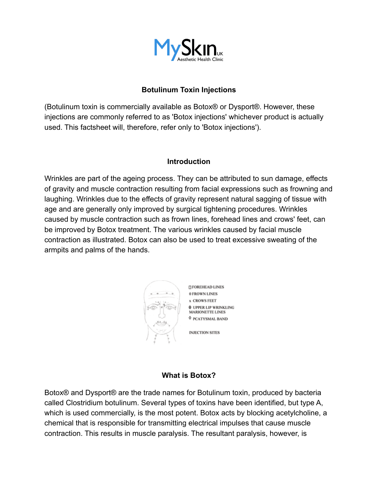

## **Botulinum Toxin Injections**

(Botulinum toxin is commercially available as Botox® or Dysport®. However, these injections are commonly referred to as 'Botox injections' whichever product is actually used. This factsheet will, therefore, refer only to 'Botox injections').

#### **Introduction**

Wrinkles are part of the ageing process. They can be attributed to sun damage, effects of gravity and muscle contraction resulting from facial expressions such as frowning and laughing. Wrinkles due to the effects of gravity represent natural sagging of tissue with age and are generally only improved by surgical tightening procedures. Wrinkles caused by muscle contraction such as frown lines, forehead lines and crows' feet, can be improved by Botox treatment. The various wrinkles caused by facial muscle contraction as illustrated. Botox can also be used to treat excessive sweating of the armpits and palms of the hands.



*DEOREHEAD LINES* 0 FROWN LINES **x CROWS FEET**  $\oplus$  **UPPER LIP WRINKLING MARIONETTE LINES** *O PCATYSMAL BAND* 

**INJECTION SITES** 

#### **What is Botox?**

Botox® and Dysport® are the trade names for Botulinum toxin, produced by bacteria called Clostridium botulinum. Several types of toxins have been identified, but type A, which is used commercially, is the most potent. Botox acts by blocking acetylcholine, a chemical that is responsible for transmitting electrical impulses that cause muscle contraction. This results in muscle paralysis. The resultant paralysis, however, is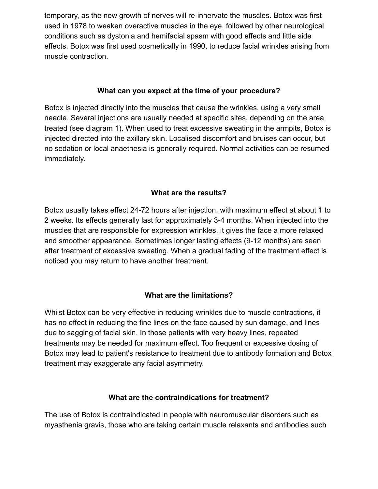temporary, as the new growth of nerves will re-innervate the muscles. Botox was first used in 1978 to weaken overactive muscles in the eye, followed by other neurological conditions such as dystonia and hemifacial spasm with good effects and little side effects. Botox was first used cosmetically in 1990, to reduce facial wrinkles arising from muscle contraction.

### **What can you expect at the time of your procedure?**

Botox is injected directly into the muscles that cause the wrinkles, using a very small needle. Several injections are usually needed at specific sites, depending on the area treated (see diagram 1). When used to treat excessive sweating in the armpits, Botox is injected directed into the axillary skin. Localised discomfort and bruises can occur, but no sedation or local anaethesia is generally required. Normal activities can be resumed immediately.

## **What are the results?**

Botox usually takes effect 24-72 hours after injection, with maximum effect at about 1 to 2 weeks. Its effects generally last for approximately 3-4 months. When injected into the muscles that are responsible for expression wrinkles, it gives the face a more relaxed and smoother appearance. Sometimes longer lasting effects (9-12 months) are seen after treatment of excessive sweating. When a gradual fading of the treatment effect is noticed you may return to have another treatment.

## **What are the limitations?**

Whilst Botox can be very effective in reducing wrinkles due to muscle contractions, it has no effect in reducing the fine lines on the face caused by sun damage, and lines due to sagging of facial skin. In those patients with very heavy lines, repeated treatments may be needed for maximum effect. Too frequent or excessive dosing of Botox may lead to patient's resistance to treatment due to antibody formation and Botox treatment may exaggerate any facial asymmetry.

#### **What are the contraindications for treatment?**

The use of Botox is contraindicated in people with neuromuscular disorders such as myasthenia gravis, those who are taking certain muscle relaxants and antibodies such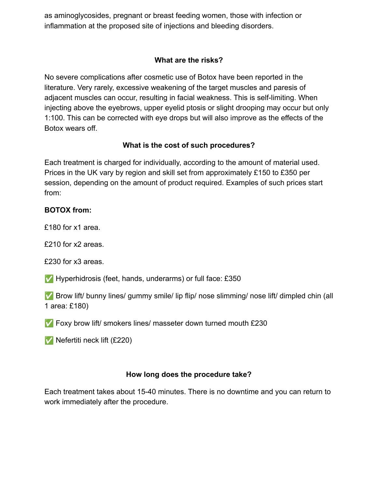as aminoglycosides, pregnant or breast feeding women, those with infection or inflammation at the proposed site of injections and bleeding disorders.

## **What are the risks?**

No severe complications after cosmetic use of Botox have been reported in the literature. Very rarely, excessive weakening of the target muscles and paresis of adjacent muscles can occur, resulting in facial weakness. This is self-limiting. When injecting above the eyebrows, upper eyelid ptosis or slight drooping may occur but only 1:100. This can be corrected with eye drops but will also improve as the effects of the Botox wears off.

# **What is the cost of such procedures?**

Each treatment is charged for individually, according to the amount of material used. Prices in the UK vary by region and skill set from approximately £150 to £350 per session, depending on the amount of product required. Examples of such prices start from:

## **BOTOX from:**

£180 for x1 area.

£210 for x2 areas.

£230 for x3 areas.

✅ Hyperhidrosis (feet, hands, underarms) or full face: £350

✅ Brow lift/ bunny lines/ gummy smile/ lip flip/ nose slimming/ nose lift/ dimpled chin (all 1 area: £180)

✅ Foxy brow lift/ smokers lines/ masseter down turned mouth £230

✅ Nefertiti neck lift (£220)

# **How long does the procedure take?**

Each treatment takes about 15-40 minutes. There is no downtime and you can return to work immediately after the procedure.